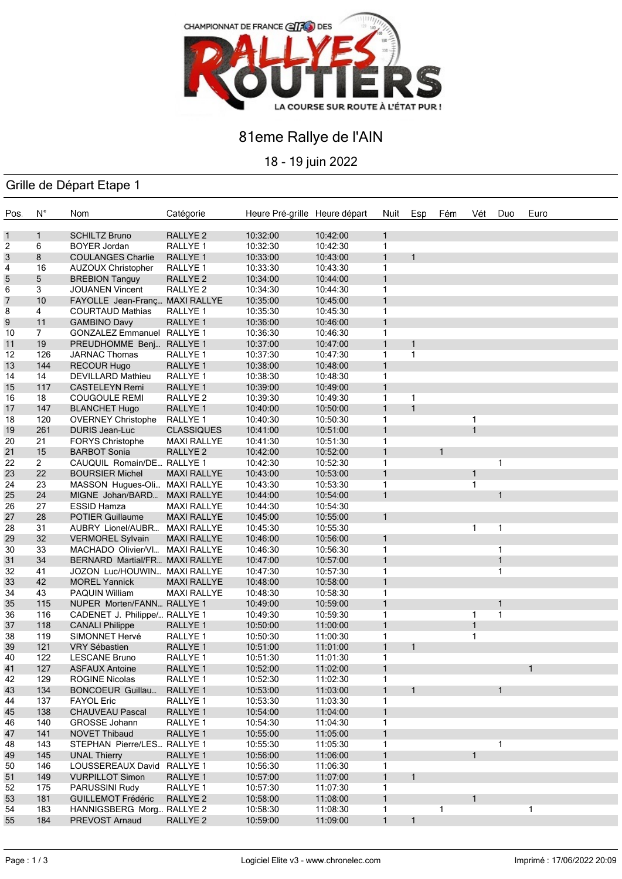

## 81eme Rallye de l'AIN

18 - 19 juin 2022

### Grille de Départ Etape 1

| Pos. | $N^{\circ}$    | Nom                            | Catégorie           | Heure Pré-grille Heure départ |          | Nuit         | Esp          | Fém          | Vét          | Duo          | Euro |
|------|----------------|--------------------------------|---------------------|-------------------------------|----------|--------------|--------------|--------------|--------------|--------------|------|
|      |                |                                |                     |                               |          |              |              |              |              |              |      |
| 1    | $\mathbf{1}$   | <b>SCHILTZ Bruno</b>           | RALLYE <sub>2</sub> | 10:32:00                      | 10:42:00 | $\mathbf{1}$ |              |              |              |              |      |
| 2    | 6              | <b>BOYER Jordan</b>            | RALLYE 1            | 10:32:30                      | 10:42:30 | 1            |              |              |              |              |      |
| 3    | 8              | <b>COULANGES Charlie</b>       | RALLYE <sub>1</sub> | 10:33:00                      | 10:43:00 | $\mathbf{1}$ | $\mathbf{1}$ |              |              |              |      |
| 4    | 16             | <b>AUZOUX Christopher</b>      | RALLYE 1            | 10:33:30                      | 10:43:30 | $\mathbf{1}$ |              |              |              |              |      |
| 5    | 5              | <b>BREBION Tanguy</b>          | RALLYE <sub>2</sub> | 10:34:00                      | 10:44:00 | $\mathbf{1}$ |              |              |              |              |      |
| 6    | 3              | <b>JOUANEN Vincent</b>         | RALLYE <sub>2</sub> | 10:34:30                      | 10:44:30 | 1            |              |              |              |              |      |
| 7    | 10             | FAYOLLE Jean-Franç MAXI RALLYE |                     | 10:35:00                      | 10:45:00 | $\mathbf{1}$ |              |              |              |              |      |
| 8    | 4              | <b>COURTAUD Mathias</b>        | RALLYE <sub>1</sub> | 10:35:30                      | 10:45:30 | 1            |              |              |              |              |      |
| 9    | 11             | <b>GAMBINO Davy</b>            | RALLYE 1            | 10:36:00                      | 10:46:00 | 1            |              |              |              |              |      |
| 10   | 7              | <b>GONZALEZ Emmanuel</b>       | RALLYE <sub>1</sub> | 10:36:30                      | 10:46:30 | 1            |              |              |              |              |      |
| 11   | 19             | PREUDHOMME Benj                | RALLYE <sub>1</sub> | 10:37:00                      | 10:47:00 | $\mathbf{1}$ | $\mathbf{1}$ |              |              |              |      |
| 12   | 126            | JARNAC Thomas                  | RALLYE 1            | 10:37:30                      | 10:47:30 | 1            | $\mathbf{1}$ |              |              |              |      |
| 13   | 144            | <b>RECOUR Hugo</b>             | RALLYE 1            | 10:38:00                      | 10:48:00 | $\mathbf{1}$ |              |              |              |              |      |
| 14   | 14             | <b>DEVILLARD Mathieu</b>       | RALLYE 1            | 10:38:30                      | 10:48:30 | $\mathbf{1}$ |              |              |              |              |      |
| 15   | 117            | <b>CASTELEYN Remi</b>          | RALLYE <sub>1</sub> | 10:39:00                      | 10:49:00 | $\mathbf{1}$ |              |              |              |              |      |
| 16   | 18             | <b>COUGOULE REMI</b>           | RALLYE 2            | 10:39:30                      | 10:49:30 | $\mathbf{1}$ | $\mathbf{1}$ |              |              |              |      |
| 17   | 147            | <b>BLANCHET Hugo</b>           | RALLYE <sub>1</sub> | 10:40:00                      | 10:50:00 | $\mathbf{1}$ | $\mathbf{1}$ |              |              |              |      |
| 18   | 120            | <b>OVERNEY Christophe</b>      | RALLYE 1            | 10:40:30                      | 10:50:30 | 1            |              |              | 1            |              |      |
| 19   | 261            | DURIS Jean-Luc                 | <b>CLASSIQUES</b>   | 10:41:00                      | 10:51:00 | $\mathbf{1}$ |              |              | $\mathbf{1}$ |              |      |
| 20   | 21             | <b>FORYS Christophe</b>        | <b>MAXI RALLYE</b>  | 10:41:30                      | 10:51:30 | 1            |              |              |              |              |      |
| 21   | 15             | <b>BARBOT Sonia</b>            | <b>RALLYE 2</b>     | 10:42:00                      | 10:52:00 | 1            |              | $\mathbf{1}$ |              |              |      |
| 22   | $\overline{2}$ | CAUQUIL Romain/DE RALLYE 1     |                     | 10:42:30                      | 10:52:30 | 1            |              |              |              | 1            |      |
| 23   | 22             | <b>BOURSIER Michel</b>         | <b>MAXI RALLYE</b>  | 10:43:00                      | 10:53:00 | $\mathbf{1}$ |              |              | $\mathbf{1}$ |              |      |
| 24   | 23             | MASSON Hugues-Oli              | <b>MAXI RALLYE</b>  | 10:43:30                      | 10:53:30 | 1            |              |              | $\mathbf{1}$ |              |      |
| 25   | 24             | MIGNE Johan/BARD               | <b>MAXI RALLYE</b>  | 10:44:00                      | 10:54:00 | $\mathbf{1}$ |              |              |              | $\mathbf{1}$ |      |
| 26   | 27             | <b>ESSID Hamza</b>             | <b>MAXI RALLYE</b>  | 10:44:30                      | 10:54:30 |              |              |              |              |              |      |
| 27   | 28             | <b>POTIER Guillaume</b>        | <b>MAXI RALLYE</b>  | 10:45:00                      | 10:55:00 | $\mathbf{1}$ |              |              |              |              |      |
| 28   | 31             | AUBRY Lionel/AUBR              | <b>MAXI RALLYE</b>  | 10:45:30                      | 10:55:30 |              |              |              | 1            | 1            |      |
| 29   | 32             | <b>VERMOREL Sylvain</b>        | <b>MAXI RALLYE</b>  | 10:46:00                      | 10:56:00 | $\mathbf{1}$ |              |              |              |              |      |
| 30   | 33             | MACHADO Olivier/VI             | <b>MAXI RALLYE</b>  | 10:46:30                      | 10:56:30 | 1            |              |              |              | 1            |      |
| 31   | 34             | BERNARD Martial/FR MAXI RALLYE |                     | 10:47:00                      | 10:57:00 | 1            |              |              |              | 1            |      |
| 32   | 41             | JOZON Luc/HOUWIN MAXI RALLYE   |                     | 10:47:30                      | 10:57:30 | 1            |              |              |              | 1            |      |
| 33   | 42             | <b>MOREL Yannick</b>           | <b>MAXI RALLYE</b>  | 10:48:00                      | 10:58:00 | $\mathbf{1}$ |              |              |              |              |      |
| 34   | 43             | <b>PAQUIN William</b>          | <b>MAXI RALLYE</b>  | 10:48:30                      | 10:58:30 | 1            |              |              |              |              |      |
| 35   | 115            | NUPER Morten/FANN RALLYE 1     |                     | 10:49:00                      | 10:59:00 | $\mathbf{1}$ |              |              |              | 1            |      |
| 36   | 116            | CADENET J. Philippe/ RALLYE 1  |                     | 10:49:30                      | 10:59:30 | 1            |              |              | $\mathbf{1}$ | 1            |      |
| 37   | 118            | <b>CANALI Philippe</b>         | RALLYE <sub>1</sub> | 10:50:00                      | 11:00:00 | $\mathbf{1}$ |              |              | $\mathbf{1}$ |              |      |
| 38   | 119            | SIMONNET Hervé                 | RALLYE 1            | 10:50:30                      | 11:00:30 | 1            |              |              | 1            |              |      |
| 39   | 121            | <b>VRY Sébastien</b>           | RALLYE <sub>1</sub> | 10:51:00                      | 11:01:00 | $\mathbf{1}$ | $\mathbf{1}$ |              |              |              |      |
| 40   | 122            | <b>LESCANE Bruno</b>           | RALLYE <sub>1</sub> | 10:51:30                      | 11:01:30 | $\mathbf{1}$ |              |              |              |              |      |
| 41   | 127            | <b>ASFAUX Antoine</b>          | RALLYE 1            | 10:52:00                      | 11:02:00 | $\mathbf{1}$ |              |              |              |              |      |
| 42   | 129            | <b>ROGINE Nicolas</b>          | RALLYE 1            | 10:52:30                      | 11:02:30 | 1            |              |              |              |              |      |
| 43   | 134            | <b>BONCOEUR Guillau</b>        | RALLYE <sub>1</sub> | 10:53:00                      | 11:03:00 | 1            | 1            |              |              | 1            |      |
| 44   | 137            | <b>FAYOL Eric</b>              | RALLYE 1            | 10:53:30                      | 11:03:30 | 1            |              |              |              |              |      |
| 45   | 138            | <b>CHAUVEAU Pascal</b>         | RALLYE 1            | 10:54:00                      | 11:04:00 | 1            |              |              |              |              |      |
| 46   | 140            | GROSSE Johann                  | RALLYE 1            | 10:54:30                      | 11:04:30 | 1            |              |              |              |              |      |
| 47   | 141            | NOVET Thibaud                  | RALLYE 1            | 10:55:00                      | 11:05:00 | 1            |              |              |              |              |      |
| 48   | 143            | STEPHAN Pierre/LES RALLYE 1    |                     | 10:55:30                      | 11:05:30 | 1            |              |              |              | 1            |      |
| 49   | 145            | <b>UNAL Thierry</b>            | RALLYE 1            | 10:56:00                      | 11:06:00 | 1            |              |              | 1            |              |      |
| 50   | 146            | LOUSSEREAUX David              | RALLYE 1            | 10:56:30                      | 11:06:30 | 1            |              |              |              |              |      |
| 51   | 149            | <b>VURPILLOT Simon</b>         | RALLYE <sub>1</sub> | 10:57:00                      | 11:07:00 | 1            | 1            |              |              |              |      |
| 52   | 175            | PARUSSINI Rudy                 | RALLYE 1            | 10:57:30                      | 11:07:30 | 1            |              |              |              |              |      |
| 53   | 181            | <b>GUILLEMOT Frédéric</b>      | RALLYE <sub>2</sub> | 10:58:00                      | 11:08:00 | 1            |              |              | $\mathbf{1}$ |              |      |
| 54   | 183            | HANNIGSBERG Morg               | RALLYE <sub>2</sub> | 10:58:30                      | 11:08:30 | 1            |              | 1            |              |              | 1    |
| 55   | 184            | PREVOST Arnaud                 | RALLYE <sub>2</sub> | 10:59:00                      | 11:09:00 | $\mathbf{1}$ | $\mathbf{1}$ |              |              |              |      |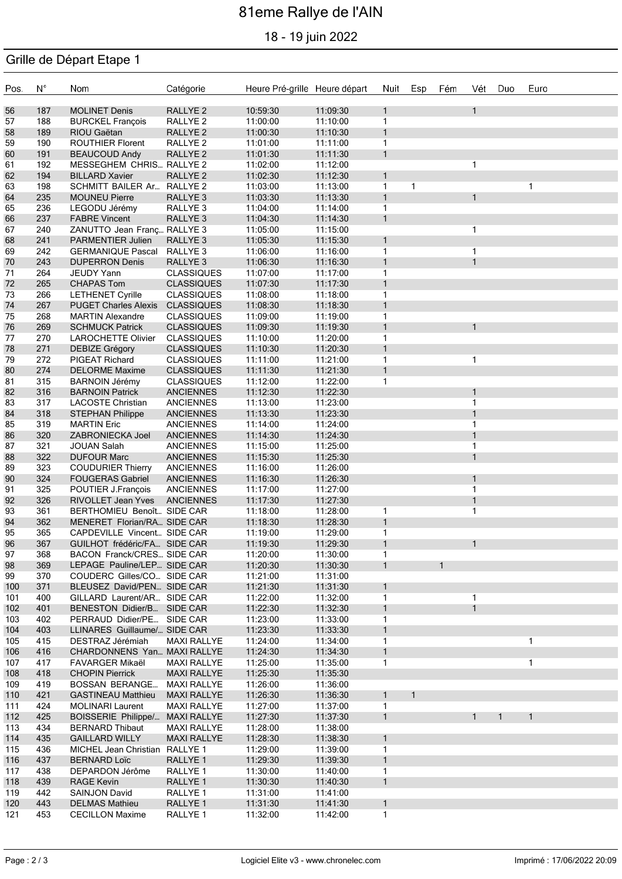# 81eme Rallye de l'AIN

18 - 19 juin 2022

### Grille de Départ Etape 1

| Pos.       | $N^{\circ}$ | Nom                                                   | Catégorie                                | Heure Pré-grille Heure départ |                      | Nuit                         | Esp          | Fém          | Vét                          | Duo          | Euro         |
|------------|-------------|-------------------------------------------------------|------------------------------------------|-------------------------------|----------------------|------------------------------|--------------|--------------|------------------------------|--------------|--------------|
| 56         | 187         | <b>MOLINET Denis</b>                                  | RALLYE <sub>2</sub>                      | 10:59:30                      | 11:09:30             | $\mathbf{1}$                 |              |              | $\mathbf{1}$                 |              |              |
| 57         | 188         | <b>BURCKEL François</b>                               | RALLYE <sub>2</sub>                      | 11:00:00                      | 11:10:00             | $\mathbf{1}$                 |              |              |                              |              |              |
| 58         | 189         | RIOU Gaëtan                                           | RALLYE <sub>2</sub>                      | 11:00:30                      | 11:10:30             | 1                            |              |              |                              |              |              |
| 59         | 190         | <b>ROUTHIER Florent</b>                               | RALLYE <sub>2</sub>                      | 11:01:00                      | 11:11:00             | $\mathbf{1}$                 |              |              |                              |              |              |
| 60         | 191         | <b>BEAUCOUD Andy</b>                                  | RALLYE <sub>2</sub>                      | 11:01:30                      | 11:11:30             | $\mathbf{1}$                 |              |              |                              |              |              |
| 61         | 192         | MESSEGHEM CHRIS RALLYE 2                              |                                          | 11:02:00                      | 11:12:00             |                              |              |              | $\mathbf{1}$                 |              |              |
| 62         | 194         | <b>BILLARD Xavier</b>                                 | RALLYE <sub>2</sub>                      | 11:02:30                      | 11:12:30             | $\mathbf{1}$                 |              |              |                              |              |              |
| 63<br>64   | 198<br>235  | SCHMITT BAILER Ar RALLYE 2<br><b>MOUNEU Pierre</b>    | RALLYE <sub>3</sub>                      | 11:03:00<br>11:03:30          | 11:13:00<br>11:13:30 | $\mathbf{1}$<br>$\mathbf{1}$ | $\mathbf{1}$ |              | $\mathbf{1}$                 |              | $\mathbf{1}$ |
| 65         | 236         | LEGODU Jérémy                                         | RALLYE 3                                 | 11:04:00                      | 11:14:00             | 1                            |              |              |                              |              |              |
| 66         | 237         | <b>FABRE Vincent</b>                                  | RALLYE <sub>3</sub>                      | 11:04:30                      | 11:14:30             | $\mathbf{1}$                 |              |              |                              |              |              |
| 67         | 240         | ZANUTTO Jean Franç RALLYE 3                           |                                          | 11:05:00                      | 11:15:00             |                              |              |              | $\mathbf{1}$                 |              |              |
| 68         | 241         | PARMENTIER Julien                                     | RALLYE <sub>3</sub>                      | 11:05:30                      | 11:15:30             | $\mathbf{1}$                 |              |              |                              |              |              |
| 69         | 242         | <b>GERMANIQUE Pascal</b>                              | RALLYE 3                                 | 11:06:00                      | 11:16:00             | $\mathbf{1}$                 |              |              | $\mathbf{1}$                 |              |              |
| $70\,$     | 243         | <b>DUPERRON Denis</b>                                 | RALLYE 3                                 | 11:06:30                      | 11:16:30             | 1                            |              |              | $\mathbf{1}$                 |              |              |
| 71         | 264         | JEUDY Yann                                            | <b>CLASSIQUES</b>                        | 11:07:00                      | 11:17:00             | $\mathbf{1}$                 |              |              |                              |              |              |
| $72\,$     | 265         | <b>CHAPAS Tom</b>                                     | <b>CLASSIQUES</b>                        | 11:07:30                      | 11:17:30             | $\mathbf{1}$                 |              |              |                              |              |              |
| 73         | 266         | <b>LETHENET Cyrille</b>                               | <b>CLASSIQUES</b>                        | 11:08:00                      | 11:18:00             | $\mathbf{1}$                 |              |              |                              |              |              |
| 74         | 267         | PUGET Charles Alexis CLASSIQUES                       |                                          | 11:08:30                      | 11:18:30             | $\mathbf{1}$                 |              |              |                              |              |              |
| 75         | 268         | <b>MARTIN Alexandre</b>                               | <b>CLASSIQUES</b>                        | 11:09:00                      | 11:19:00             | 1                            |              |              |                              |              |              |
| 76         | 269         | <b>SCHMUCK Patrick</b>                                | <b>CLASSIQUES</b>                        | 11:09:30                      | 11:19:30             | $\mathbf{1}$                 |              |              |                              |              |              |
| 77         | 270         | LAROCHETTE Olivier                                    | <b>CLASSIQUES</b>                        | 11:10:00                      | 11:20:00             | 1<br>$\mathbf{1}$            |              |              |                              |              |              |
| 78<br>79   | 271<br>272  | DEBIZE Grégory<br>PIGEAT Richard                      | <b>CLASSIQUES</b><br><b>CLASSIQUES</b>   | 11:10:30<br>11:11:00          | 11:20:30<br>11:21:00 | $\mathbf{1}$                 |              |              | $\mathbf{1}$                 |              |              |
| 80         | 274         | <b>DELORME Maxime</b>                                 | <b>CLASSIQUES</b>                        | 11:11:30                      | 11:21:30             | $\mathbf{1}$                 |              |              |                              |              |              |
| 81         | 315         | <b>BARNOIN Jérémy</b>                                 | <b>CLASSIQUES</b>                        | 11:12:00                      | 11:22:00             | 1                            |              |              |                              |              |              |
| 82         | 316         | <b>BARNOIN Patrick</b>                                | <b>ANCIENNES</b>                         | 11:12:30                      | 11:22:30             |                              |              |              | $\mathbf{1}$                 |              |              |
| 83         | 317         | <b>LACOSTE Christian</b>                              | <b>ANCIENNES</b>                         | 11:13:00                      | 11:23:00             |                              |              |              | $\mathbf{1}$                 |              |              |
| 84         | 318         | <b>STEPHAN Philippe</b>                               | <b>ANCIENNES</b>                         | 11:13:30                      | 11:23:30             |                              |              |              | $\mathbf{1}$                 |              |              |
| 85         | 319         | <b>MARTIN Eric</b>                                    | <b>ANCIENNES</b>                         | 11:14:00                      | 11:24:00             |                              |              |              | $\mathbf{1}$                 |              |              |
| 86         | 320         | ZABRONIECKA Joel                                      | <b>ANCIENNES</b>                         | 11:14:30                      | 11:24:30             |                              |              |              | $\mathbf{1}$                 |              |              |
| 87         | 321         | <b>JOUAN Salah</b>                                    | <b>ANCIENNES</b>                         | 11:15:00                      | 11:25:00             |                              |              |              | $\mathbf{1}$                 |              |              |
| 88         | 322         | <b>DUFOUR Marc</b>                                    | <b>ANCIENNES</b>                         | 11:15:30                      | 11:25:30             |                              |              |              | $\mathbf{1}$                 |              |              |
| 89         | 323         | <b>COUDURIER Thierry</b>                              | ANCIENNES                                | 11:16:00                      | 11:26:00             |                              |              |              |                              |              |              |
| 90         | 324         | <b>FOUGERAS Gabriel</b>                               | <b>ANCIENNES</b>                         | 11:16:30                      | 11:26:30             |                              |              |              | $\mathbf{1}$                 |              |              |
| 91         | 325         | POUTIER J.François                                    | <b>ANCIENNES</b>                         | 11:17:00                      | 11:27:00             |                              |              |              | $\mathbf{1}$                 |              |              |
| 92<br>93   | 326<br>361  | RIVOLLET Jean Yves<br>BERTHOMIEU Benoît SIDE CAR      | <b>ANCIENNES</b>                         | 11:17:30<br>11:18:00          | 11:27:30<br>11:28:00 | $\mathbf{1}$                 |              |              | $\mathbf{1}$<br>$\mathbf{1}$ |              |              |
| 94         | 362         | MENERET Florian/RA SIDE CAR                           |                                          | 11:18:30                      | 11:28:30             | $\mathbf{1}$                 |              |              |                              |              |              |
| 95         | 365         | CAPDEVILLE Vincent SIDE CAR                           |                                          | 11:19:00                      | 11:29:00             | 1                            |              |              |                              |              |              |
| 96         | 367         | GUILHOT frédéric/FA SIDE CAR                          |                                          | 11:19:30                      | 11:29:30             | $\mathbf{1}$                 |              |              | 1                            |              |              |
| 97         | 368         | BACON Franck/CRES SIDE CAR                            |                                          | 11:20:00                      | 11:30:00             | $\mathbf{1}$                 |              |              |                              |              |              |
| 98         | 369         | LEPAGE Pauline/LEP SIDE CAR                           |                                          | 11:20:30                      | 11:30:30             | $\mathbf{1}$                 |              | $\mathbf{1}$ |                              |              |              |
| 99         | 370         | COUDERC Gilles/CO SIDE CAR                            |                                          | 11:21:00                      | 11:31:00             |                              |              |              |                              |              |              |
| 100        | 371         | BLEUSEZ David/PEN SIDE CAR                            |                                          | 11:21:30                      | 11:31:30             | 1                            |              |              |                              |              |              |
| 101        | 400         | GILLARD Laurent/AR SIDE CAR                           |                                          | 11:22:00                      | 11:32:00             | 1                            |              |              | 1                            |              |              |
| 102        | 401         | BENESTON Didier/B SIDE CAR                            |                                          | 11:22:30                      | 11:32:30             | 1                            |              |              | $\mathbf{1}$                 |              |              |
| 103        | 402         | PERRAUD Didier/PE SIDE CAR                            |                                          | 11:23:00                      | 11:33:00             | 1                            |              |              |                              |              |              |
| 104        | 403         | LLINARES Guillaume/ SIDE CAR                          |                                          | 11:23:30                      | 11:33:30             | $\mathbf{1}$                 |              |              |                              |              |              |
| 105        | 415         | DESTRAZ Jérémiah                                      | <b>MAXI RALLYE</b>                       | 11:24:00                      | 11:34:00             | 1                            |              |              |                              |              | 1            |
| 106        | 416         | CHARDONNENS Yan MAXI RALLYE<br><b>FAVARGER Mikaël</b> |                                          | 11:24:30                      | 11:34:30             | 1                            |              |              |                              |              | 1            |
| 107<br>108 | 417<br>418  | <b>CHOPIN Pierrick</b>                                | <b>MAXI RALLYE</b><br><b>MAXI RALLYE</b> | 11:25:00<br>11:25:30          | 11:35:00<br>11:35:30 | 1                            |              |              |                              |              |              |
| 109        | 419         | <b>BOSSAN BERANGE</b>                                 | <b>MAXI RALLYE</b>                       | 11:26:00                      | 11:36:00             |                              |              |              |                              |              |              |
| 110        | 421         | <b>GASTINEAU Matthieu</b>                             | <b>MAXI RALLYE</b>                       | 11:26:30                      | 11:36:30             | 1                            | $\mathbf{1}$ |              |                              |              |              |
| 111        | 424         | MOLINARI Laurent                                      | <b>MAXI RALLYE</b>                       | 11:27:00                      | 11:37:00             | 1                            |              |              |                              |              |              |
| 112        | 425         | BOISSERIE Philippe/ MAXI RALLYE                       |                                          | 11:27:30                      | 11:37:30             | $\mathbf{1}$                 |              |              | $\mathbf{1}$                 | $\mathbf{1}$ | $\mathbf{1}$ |
| 113        | 434         | <b>BERNARD Thibaut</b>                                | <b>MAXI RALLYE</b>                       | 11:28:00                      | 11:38:00             |                              |              |              |                              |              |              |
| 114        | 435         | <b>GAILLARD WILLY</b>                                 | <b>MAXI RALLYE</b>                       | 11:28:30                      | 11:38:30             | 1                            |              |              |                              |              |              |
| 115        | 436         | MICHEL Jean Christian RALLYE 1                        |                                          | 11:29:00                      | 11:39:00             | 1                            |              |              |                              |              |              |
| 116        | 437         | <b>BERNARD Loïc</b>                                   | RALLYE 1                                 | 11:29:30                      | 11:39:30             | $\mathbf{1}$                 |              |              |                              |              |              |
| 117        | 438         | DEPARDON Jérôme                                       | RALLYE 1                                 | 11:30:00                      | 11:40:00             | 1                            |              |              |                              |              |              |
| 118        | 439         | <b>RAGE Kevin</b>                                     | RALLYE 1                                 | 11:30:30                      | 11:40:30             | 1                            |              |              |                              |              |              |
| 119        | 442         | <b>SAINJON David</b>                                  | RALLYE 1                                 | 11:31:00                      | 11:41:00             |                              |              |              |                              |              |              |
| 120        | 443         | <b>DELMAS Mathieu</b>                                 | RALLYE 1                                 | 11:31:30                      | 11:41:30             | $\mathbf{1}$                 |              |              |                              |              |              |
| 121        | 453         | <b>CECILLON Maxime</b>                                | RALLYE 1                                 | 11:32:00                      | 11:42:00             | $\mathbf{1}$                 |              |              |                              |              |              |